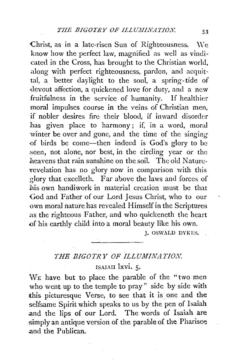Christ, as in a late-risen Sun of Righteousness. \Ve know how the perfect law, magnified as well as vindicated in the Cross, has brought to the Christian world, along with perfect righteousness, pardon, and acquittal, a better daylight to the soul, a spring-tide of -devout affection, a quickened love for duty, and a new fruitfulness in the service of humanity. If healthier moral impulses course in the veins of Christian men, if nobler desires fire their blood, if inward disorder has given place to harmony; if, in a word, moral winter be over and gone, and the time of the singing of birds be come-then indeed is God's glory to be seen, not alone, nor best, in the circling year or the heavens that rain sunshine on the soil. The old Naturerevelation has no glory now in comparison with this glory that excelleth. Far above the laws and forces of his own handiwork in material creation must be that God and Father of our Lord Jesus Christ, who to our own moral nature has revealed Himself in the Scriptures as the righteous Father, and who quickeneth the heart of his earthly child into a moral beauty like his own.

J. OSWALD DYKES.

## THE BIGOTRY OF ILLUMINATION.

ISAIAH lxvi. 5.

WE have but to place the parable of the "two men who went up to the temple to pray" side by side with this picturesque Verse, to see that it is one and the selfsame Spirit which speaks to us by the pen of Isaiah .and the lips of our Lord. The words of Isaiah are simply an antique version of the parable of the Pharisee. and the Publican.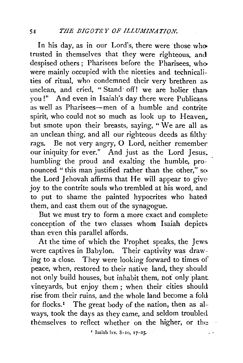In his day, as in our Lord's, there were those who trusted in themselves that they were righteous, and despised others ; Pharisees before the Pharisees, who were mainly occupied with the niceties and technicalities of ritual, who condemned their very brethren as. unclean, and cried, "Stand· off! we are holier than. you!" And even in Isaiah's day there were Publicans. as well as Pharisees—men of a humble and contrite spirit, who could not so much as look up to Heaven,. but smote upon their breasts, saying, "We are all asan unclean thing, and all our righteous deeds as filthy rags. Be not very angry, 0 Lord, neither remember our iniquity for ever." And just as the Lord Jesus, humbling the proud and exalting the humble, pronounced " this man justified rather than the other," so the Lord Jehovah affirms that He will appear to give· joy to the contrite souls who trembled at his word, and to put to shame the painted hypocrites who hated them, and cast them out of the synagogue.

But we must try to form a more exact and complete conception of the two classes whom Isaiah depicts. than even this parallel affords.

At the time of which the Prophet speaks, the Jews. were captives in Babylon. Their captivity was drawing to a close. They were looking forward to times of peace, when, restored to their native land, they should not only build houses, but inhabit them, not only plant. vineyards, but enjoy them ; when their cities should rise from their ruins, and the whole land become a fold for flocks.<sup>1</sup> The great body of the nation, then as always, took the days as they came, and seldom troubled themselves to reflect whether on the higher, or the:

' Isaiah !xv. 8-10, 17-25.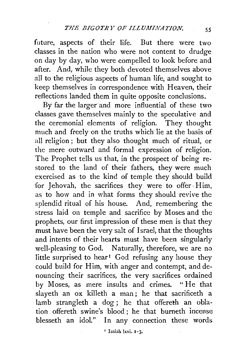future, aspects of their life. But there were two classes in the nation who were not content to drudge on day by day, who were compelled to look before and after. And, while they both devoted themselves above all to the religious aspects of human life, and sought to keep themselves in correspondence with Heaven, their reflections landed them in quite opposite conclusions.

By far the larger'and more influential of these two classes gave themselves mainly to the speculative and the ceremonial elements of religion. They thought much and freely on the truths which lie at the basis of all religion ; but they also thought much of ritual, or the mere outward and formal expression of religion. The Prophet tells us that, in the prospect of being restored to the land of their fathers, they were much exercised as to the kind of temple they should build for Jehovah, the sacrifices they were to offer Him, as to how and in what forms they should revive the splendid ritual of his house. And, remembering the stress laid on temple and sacrifice by Moses and the prophets, our first impression of these men is that they must have been the very salt of Israel, that the thoughts and intents of their hearts must have been singularly well-pleasing to God. Naturally, therefore, we are no little surprised to hear<sup>1</sup> God refusing any house they could build for Him, with anger and contempt, and denouncing their sacrifices, the very sacrifices ordained by Moses, as mere insults and crimes. " He that slayeth an ox killeth a man; he that sacrificeth a lamb strangleth a dog; he that offereth an oblation offereth swine's blood ; he that burneth incense blesseth an idol." In any connection these words

' Isaiah !xvi. 1-3.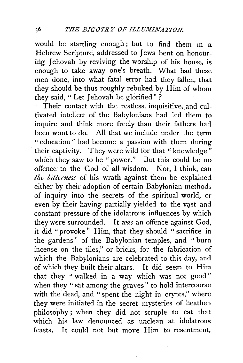would be startling enough ; but to find them in a Hebrew Scripture, addressed to Jews bent on honouring Jehovah by reviving the worship of his house, is enough to take away one's breath. What had these men done, into what fatal error had they fallen, that they should be thus roughly rebuked by Him of whom they said, "Let Jehovah be glorified"?

Their contact with the restless, inquisitive, and cultivated intellect of the Babylonians had led them to inquire and think more freely than their fathers had been wont to do. All that we include under the term " education " had become a passion with them during their captivity. They were wild for that "knowledge" which they saw to be "power." But this could be no offence to the God of all wisdom. Nor, I think, can *the bitterness* of his wrath against them be explained either by their adoption of certain Babylonian methods of inquiry into the secrets of the spiritual world, or even by their having partially yielded to the vast and constant pressure of the idolatrous influences by which they were surrounded. It *was* an offence against God, it did "provoke" Him, that they should "sacrifice in the gardens" of the Babylonian temples, and " burn incense on the tiles," or bricks, for the fabrication of which the Babylonians are celebrated to this day, and of which they built their altars. It did seem to Him that they "walked in a way which was not good" when they " sat among the graves" to hold intercourse with the dead, and " spent the night in crypts," where they were initiated in the secret mysteries of heathen philosophy ; when they did not scruple to eat that which his law denounced as unclean at idolatrous feasts. It could not but move Him to resentment,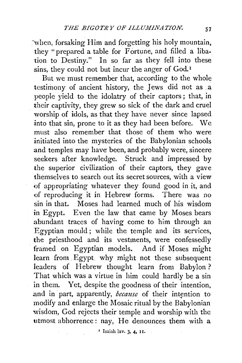when, forsaking Him and forgetting his holy mountain, they "prepared a table for  $\overline{F}$  ortune, and filled a libation to Destiny." In so far as they fell into these sins, they could not but incur the anger of God.<sup>1</sup>

But we must remember that, according to the whole testimony of ancient history, the Jews did not as a people yield to the idolatry of their captors ; that, in their captivity, they grew so sick of the dark and cruel worship of idols, as that they have never since lapsed into that sin, prone to it as they had been before. We must also remember that those of them who were initiated into the mysteries of the Babylonian schools and temples may have been, and probably were, sincere seekers after knowledge. Struck and impressed by the superior civilization of their captors, they gave themselves to search out its secret sources, with a view of appropriating whatever they found good in it, and of reproducing it in Hebrew forms. There was no sin in that. Moses had learned much of his wisdom in Egypt. Even the law that came by Moses bears abundant traces of having come to him through an Egyptian mould; while the temple and its services, the priesthood and its vestments, were confessedly framed on Egyptian models. And if Moses might learn from Egypt, why might not these subsequent leaders of Hebrew thought learn from Babylon? That which was a virtue in him could hardly be a sin in them. Yet, despite the goodness of their intention, and in part, apparently, *because* of their intention to modify and enlarge the Mosaic ritual by the Babylonian wisdom, God rejects their temple and worship with the utmost abhorrence: nay, He denounces them with a

' Isaiah !xv. 3, 4, II.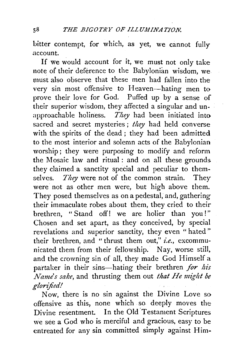bitter contempt, for which, as yet, we cannot fully .account.

If we would account for it, we must not only take note of their deference to the Babylonian wisdom, we must also observe that these men had fallen into the very sin most offensive to Heaven-hating men to prove their love for God. Puffed up by a sense of their superior wisdom, they affected a singular and unapproachable holiness. *They* had been initiated into sacred and secret mysteries ; *they* had held converse with the spirits of the dead ; they had been admitted to the most interior and solemn acts of the Babylonian worship; they were purposing to modify and reform the Mosaic law and ritual : and on all these grounds. they claimed a sanctity special and peculiar to themselves. *They* were not of the common strain. They were not as other men were, but high above them. They posed themselves as on a pedestal, and, gathering their immaculate robes about them, they cried to their brethren, "Stand off! we are holier than you!" Chosen and set apart, as they conceived, by special revelations and superior sanctity, they even "hated" their brethren, and "thrust them out," *i.e.,* excommunicated them from their fellowship. Nay, worse still, and the crowning sin of all, they made God Himself a partaker in their sins-hating their brethren *for his Name's sake,* and thrusting them out *that He might be glorified!* 

Now, there is no sin against the Divine Love so offensive as this, none which so deeply moves the Divine resentment. In the Old Testament Scriptures we see a God who is merciful and gracious, easy to be entreated for any sin committed simply against Him-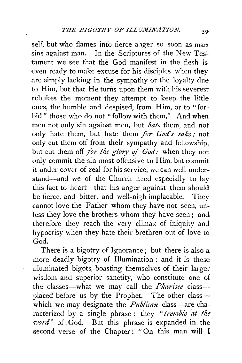self, but who flames into fierce anger so soon as man sins against man. In the Scriptures of the New Testament we see that the God manifest in the flesh is even ready to make excuse for his disciples when they are simply lacking in the sympathy or the loyalty due to Him, but that He turns upon them with his severest rebukes the moment they attempt to keep the little ones, the humble and despised, from Him, or to "forbid " those who do not "follow with them." And when men not only sin against men, but *hate* them, and not only hate them, but hate them */or God's sake;* not only cut them off from their sympathy and fellowship, but cut them off */or the glory o/ God:* when they not only commit the sin most offensive to Him, but commit it under cover of zeal for his service, we can well understand-and we of the Church need especially to lay this fact to heart--that his anger against them should be fierce, and bitter, and well-nigh implacable. They cannot love the Father whom they have not seen, unless they love the brothers whom they have seen; and therefore they reach the very climax of iniquity and hypocrisy when they hate their brethren out of love to God.

There is a bigotry of Ignorance; but there is also a more deadly bigotry of Illumination : and it is these illuminated bigots, boasting themselves of their larger wisdom and superior sanctity, who constitute one of the classes-what we may call the *Pharisee* classplaced before us by the Prophet. The other classwhich we may designate the *Publican* class—are characterized by a single phrase : they *"tremble at the 'iuord"* of God. But this phrase is expanded in the second verse of the Chapter: "On this man will I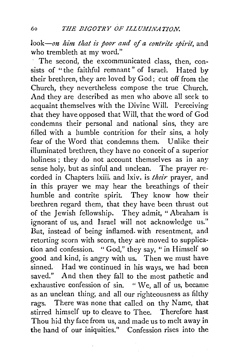*look-on him that is poor and of a contrite spirit,* and who trembleth at my word."

The second, the excommunicated class, then, consists of "the faithful remnant" of Israel. Hated by their brethren, they are loved by God; cut off from the Church, they nevertheless compose the true Church. And they are described as men who above all seek to acquaint themselves with the Divine Will. Perceiving that they have opposed that Will, that the word of God condemns their personal and national sins, they are filled with a humble contrition for their sins, a holy fear of the Word that condemns them. Unlike their illuminated brethren, they have no conceit of a superior holiness; they do not account themselves as in any sense holy, but as sinful and unclean. The prayer recorded in Chapters lxiii. and lxiv. is *their* prayer, and in this prayer we may hear the breathings of their humble and contrite spirit. They know how their brethren regard them, that they have been thrust out of the Jewish fellowship. They admit, " Abraham is ignorant of us, and Israel will not acknowledge us." But, instead of being inflamed. with resentment, and retorting scorn with scorn, they are moved to supplication and confession. "God," they say, "in Himself so good and kind, is angry with us. Then we must have sinned. Had we continued in his ways, we had been saved." And then they fall to the most pathetic and exhaustive confession of sin.  $"$  We, all of us, became as an unclean thing, and all our righteousness as filthy rags. There was none that called on thy Name, that stirred himself up to cleave to Thee. Therefore hast Thou hid thy face from us, and made us to melt away in the hand of our iniquities." Confession rises into the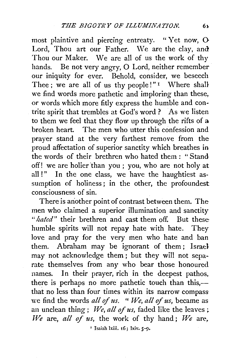most plaintive and piercing entreaty. "Yet now, 0 Lord, Thou art our Father. We are the clay, and Thou our Maker. We are all of us the work of thy hands. Be not very angry, 0 Lord, neither remember our iniquity for ever. Behold, consider, we beseech Thee ; we are all of us thy people!" $I$  Where shall we find words more pathetic and imploring than these, or words which more fitly express the humble and contrite spirit that trembles at God's word? As we listen to them we feel that they flow up through the rifts of a broken heart. The men who utter this confession and prayer stand at the very farthest remove from the proud affectation of superior sanctity which breathes in the words of their brethren who hated them: "Stand off! we are holier than you ; you, who are not holy at all !" In the one class, we have the haughtiest assumption of holiness; in the other, the profoundest consciousness of sin.

There is another point of contrast between them. The men who claimed a superior illumination and sanctity *"hated"* their brethren and cast them off. But these humble spirits will not repay hate with hate. They love and pray for the very nien who hate and ban them. Abraham may be ignorant of them; Israel may not acknowledge them ; but they will not separate themselves from any who bear those honoured names. In their prayer, rich in the deepest pathos, there is perhaps no more pathetic touch than this,that no less than four times within its narrow compass we find the words *all of us.* " We, all of us, became as an unclean thing; *We, all of us*, faded like the leaves; *We* are, *all of us*, the work of thy hand; *We* are,

' Isaiah lxiii. 16; lxiv. *S-9•*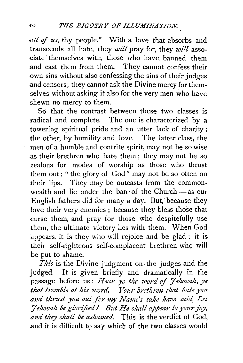*all of us,* thy people." With a love that absorbs and transcends all hate, they *will* pray for, they *will* associate themselves with, those who have banned them and cast them from them. They cannot confess their own sins without also confessing the sins of their judges and censors; they cannot ask the Divine mercy for themselves without asking it also for the very men who have shewn no mercy to them.

So that the contrast between these two classes is radical and complete. The one is characterized by a towering spiritual pride and an utter lack of charity ; the other, by humility and love. The latter class, the men of a humble and contrite spirit, may not be so wise as their brethren who hate them; they may not be so zealous for modes of worship as those who thrust them out; " the glory of God" may not be so often on their lips. They may be outcasts from the commonwealth and lie under the ban of the Church  $-$  as our English fathers did for many a day. But, because they love their very enemies ; because they bless those that curse them, and pray for those who despitefully use them, the ultimate victory lies with them. When God appears, it is they who will rejoice and be glad : it is their self-righteous self-complacent brethren who will be put to shame.

*This* is the Divine judgment on. the judges and the judged. It is given briefly and dramatically in the passage before us: *Hear ye the word of Jehovah*, ye *that tremble at his word. Your brethren that hate you and thrust you out fer my Name's sake have said, Let :Jehovah be glorified* I *But He shall appear to your joy,*  and they shall be ashamed. This is the verdict of God, and it is difficult to say which of the two classes would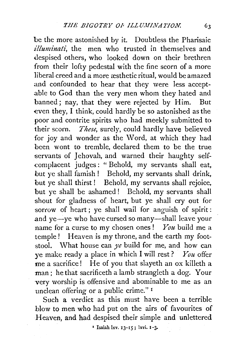be the more astonished by it. Doubtless the Pharisaic *:illuminati,* the men who trusted in themselves and despised others, who looked down on their brethren from their lofty pedestal with the fine scorn of a more liberal creed and a more æsthetic ritual, would be amazed and confounded to hear that they were less accept- .able to God than the very men whom they hated and banned; nay, that they were rejected by Him. But even they, I think, could hardly be so astonished as the poor and contrite spirits who had meekly submitted to their scorn. *These,* surely, could hardly have believed for joy and wonder as the Word, at which they had been wont to tremble, declared them to be the true servants of Jehovah, and warned their haughty self- .complacent judges: "Behold, my servants shall eat, but ye shall famish! Behold, my servants shall drink, but ye shall thirst ! Behold, my servants shall rejoice, but ye shall be ashamed ! Behold, my servants shall shout for gladness of heart, but ye shall cry out for sorrow of heart; ye shall wail for anguish of spirit: and  $ve$ — $ve$  who have cursed so many—shall leave your name for a curse to my chosen ones ! *You* build me a temple! Heaven is my throne, and the earth my footstool. What house can *ye* build for me, and how can ye make ready a place in which I will rest? *You* offer me a sacrifice! He of you that slayeth an ox killeth a man; he that sacrificeth a lamb strangleth a dog. Your very worship is offensive and abominable to me as an unclean offering or a public crime." <sup>1</sup>

Such a verdict as this must have been a terrible blow to men who had put on the airs of favourites of Heaven, and had despised their simple and unlettered

 $\bar{ }$  Isaiah lxv. 13-15; lxvi. 1-3.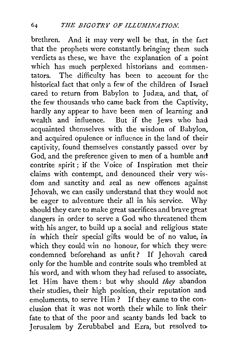brethren. And it may very well be that, in the fact that the prophets were constantly. bringing them such verdicts as these, we have the explanation of a point which has much perplexed historians and commentators. The difficulty has been to account for the historical fact that only a few of the children of Israel cared to return from Babylon to Judæa, and that, of the few thousands who came back from the Captivity,. hardly any appear to have been men of learning and wealth and influence. But if the Jews who had acquainted themselves with the wisdom of Babylon, and acquired opulence or influence in the land of their captivity, found themselves constantly passed over by God, and the preference given to men of a humble and contrite spirit; if the Voice of Inspiration met their claims with contempt, and denounced their very wisdom and sanctity and zeal as new offences against Jehovah, we can easily understand that they would not be eager to adventure their all in his service. Why should they care to make great sacrifices and brave great dangers in order to serve a God who threatened them with his anger, to build up a social and religious state in which their special gifts would be of no value, in which they could win no honour, for which they were condemned beforehand as unfit? If Jehovah cared only for the humble and contrite souls who trembled at his word, and with whom they had refused to associate, let Him have them: but why should *they* abandon their studies, their high position, their reputation and emoluments, to serve Him? If they came to the conclusion that it was not worth their while to link their· fate to that of the poor and scanty bands led back to Jerusalem by Zerubbabel and Ezra, but resolved to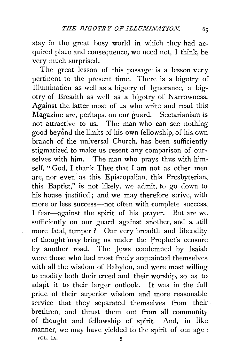stay in the great busy world in which they had acquired place and consequence, we need not, I think, be very much surprised.

The great lesson of this passage is a lesson very pertinent to the present time. There is a bigotry of Illumination as well as a bigotry of Ignorance, a bigotry of Breadth as well as a bigotry of Narrowness. Against the latter most of us who write and read this Magazine are, perhaps, on our guard. Sectarianism is not attractive to us. The man who can see nothing good beyond the limits of his own fellowship, of his own branch of the universal Church, has been sufficiently stigmatized to make us resent any comparison of ourselves with him. The man who prays thus with himself, " God, I thank Thee that I am not as other men are, nor even as this Episcopalian, this Presbyterian, this Baptist," is not likely, we admit, to go down to his house justified; and we may therefore strive, with more or less success-not often with complete success, I fear-against the spirit of his prayer. But are we sufficiently on our guard against another, and a still more fatal, temper? Our very breadth and liberality of thought may bring us under the Prophet's censure by another road. The Jews condemned by Isaiah were those who had most freely acquainted themselves. with all the wisdom of Babylon, and were most willing to modify both their creed and their worship, so as to adapt it to their larger outlook. It was in the full pride of their superior wisdom and more reasonable service that they separated themselves from their brethren, and thrust them out from all community of thought and fellowship of spirit. And, in like manner, we may have yielded to the spirit of our age : VOL. IX. 5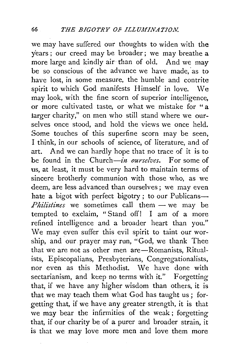we may have suffered our thoughts to widen with the years; our creed may be broader; we may breathe a more large and kindly air- than of old. And we may be so conscious of the advance we have made, as to have lost, in some measure, the humble and contrite spirit to which God manifests Himself in love. \Ne may look, with the fine scorn of superior intelligence, or more cultivated taste, or what we mistake for "a larger charity," on men who still stand where we ourselves once stood, and hold the views we once held. Some touches of this superfine scorn may be seen, I think, in our schools of science, of literature, and of art. And we can hardly hope that no trace of it is to be found in the Church-in *ourselves.* For some of us, at least, it must be very hard to maintain terms of sincere brotherly communion with those who, as we deem, are less advanced than ourselves; we may even hate a bigot with perfect bigotry; to our Publicans- $Philistines$  we sometimes call them  $-$  we may be tempted to exclaim, "Stand off! I am of a more refined intelligence and a broader heart than you." We may even suffer this evil spirit to taint our worship, and our prayer may run, "God, we thank Thee that we are not as other men are-Romanists, Ritualists, Episcopalians, Presbyterians, Congregationalists, nor even as this Methodist. We have done with sectarianism, and keep no terms with it." Forgetting that, if we have any higher wisdom than others, it is that we may teach them what God has taught us ; forgetting that, if we have any greater strength, it is that we may bear the infirmities of the weak ; forgetting that, if our charity be of a purer and broader strain, it is that we may love more men and love them more